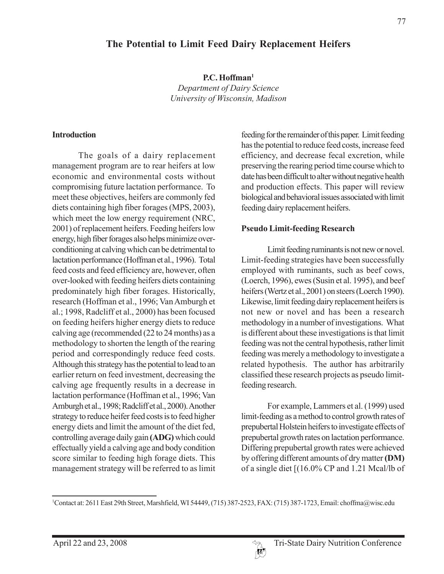# **The Potential to Limit Feed Dairy Replacement Heifers**

**P.C. Hoffman1** *Department of Dairy Science University of Wisconsin, Madison*

#### **Introduction**

The goals of a dairy replacement management program are to rear heifers at low economic and environmental costs without compromising future lactation performance. To meet these objectives, heifers are commonly fed diets containing high fiber forages (MPS, 2003), which meet the low energy requirement (NRC, 2001) of replacement heifers. Feeding heifers low energy, high fiber forages also helps minimize overconditioning at calving which can be detrimental to lactation performance (Hoffman et al., 1996). Total feed costs and feed efficiency are, however, often over-looked with feeding heifers diets containing predominately high fiber forages. Historically, research (Hoffman et al., 1996; Van Amburgh et al.; 1998, Radcliff et al., 2000) has been focused on feeding heifers higher energy diets to reduce calving age (recommended (22 to 24 months) as a methodology to shorten the length of the rearing period and correspondingly reduce feed costs. Although this strategy has the potential to lead to an earlier return on feed investment, decreasing the calving age frequently results in a decrease in lactation performance (Hoffman et al., 1996; Van Amburgh et al., 1998; Radcliff et al., 2000). Another strategy to reduce heifer feed costs is to feed higher energy diets and limit the amount of the diet fed, controlling average daily gain **(ADG)** which could effectually yield a calving age and body condition score similar to feeding high forage diets. This management strategy will be referred to as limit feeding for the remainder of this paper. Limit feeding has the potential to reduce feed costs, increase feed efficiency, and decrease fecal excretion, while preserving the rearing period time course which to date has been difficult to alter without negative health and production effects. This paper will review biological and behavioral issues associated with limit feeding dairy replacement heifers.

#### **Pseudo Limit-feeding Research**

Limit feeding ruminants is not new or novel. Limit-feeding strategies have been successfully employed with ruminants, such as beef cows, (Loerch, 1996), ewes (Susin et al. 1995), and beef heifers (Wertz et al., 2001) on steers (Loerch 1990). Likewise, limit feeding dairy replacement heifers is not new or novel and has been a research methodology in a number of investigations. What is different about these investigations is that limit feeding was not the central hypothesis, rather limit feeding was merely a methodology to investigate a related hypothesis. The author has arbitrarily classified these research projects as pseudo limitfeeding research.

For example, Lammers et al. (1999) used limit-feeding as a method to control growth rates of prepubertal Holstein heifers to investigate effects of prepubertal growth rates on lactation performance. Differing prepubertal growth rates were achieved by offering different amounts of dry matter **(DM)** of a single diet [(16.0% CP and 1.21 Mcal/lb of

77

<sup>1</sup> Contact at: 2611 East 29th Street, Marshfield, WI 54449, (715) 387-2523, FAX: (715) 387-1723, Email: choffma@wisc.edu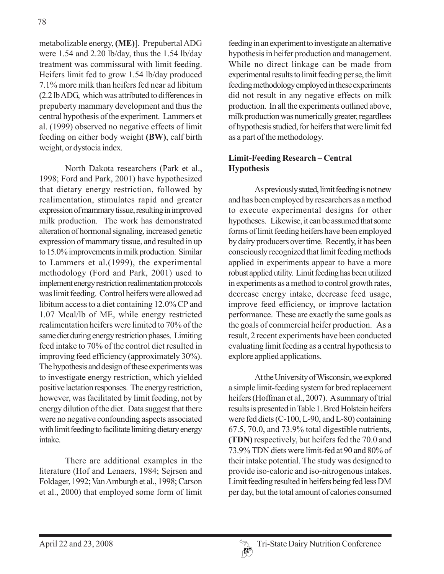metabolizable energy, **(ME)**]. Prepubertal ADG were 1.54 and 2.20 lb/day, thus the 1.54 lb/day treatment was commissural with limit feeding. Heifers limit fed to grow 1.54 lb/day produced 7.1% more milk than heifers fed near ad libitum (2.2 lb ADG, which was attributed to differences in prepuberty mammary development and thus the central hypothesis of the experiment. Lammers et al. (1999) observed no negative effects of limit feeding on either body weight **(BW)**, calf birth weight, or dystocia index.

North Dakota researchers (Park et al., 1998; Ford and Park, 2001) have hypothesized that dietary energy restriction, followed by realimentation, stimulates rapid and greater expression of mammary tissue, resulting in improved milk production. The work has demonstrated alteration of hormonal signaling, increased genetic expression of mammary tissue, and resulted in up to 15.0% improvements in milk production. Similar to Lammers et al.(1999), the experimental methodology (Ford and Park, 2001) used to implement energy restriction realimentation protocols was limit feeding. Control heifers were allowed ad libitum access to a diet containing 12.0% CP and 1.07 Mcal/lb of ME, while energy restricted realimentation heifers were limited to 70% of the same diet during energy restriction phases. Limiting feed intake to 70% of the control diet resulted in improving feed efficiency (approximately 30%). The hypothesis and design of these experiments was to investigate energy restriction, which yielded positive lactation responses. The energy restriction, however, was facilitated by limit feeding, not by energy dilution of the diet. Data suggest that there were no negative confounding aspects associated with limit feeding to facilitate limiting dietary energy intake.

There are additional examples in the literature (Hof and Lenaers, 1984; Sejrsen and Foldager, 1992; Van Amburgh et al., 1998; Carson et al., 2000) that employed some form of limit

feeding in an experiment to investigate an alternative hypothesis in heifer production and management. While no direct linkage can be made from experimental results to limit feeding per se, the limit feeding methodology employed in these experiments did not result in any negative effects on milk production. In all the experiments outlined above, milk production was numerically greater, regardless of hypothesis studied, for heifers that were limit fed as a part of the methodology.

## **Limit-Feeding Research – Central Hypothesis**

As previously stated, limit feeding is not new and has been employed by researchers as a method to execute experimental designs for other hypotheses. Likewise, it can be assumed that some forms of limit feeding heifers have been employed by dairy producers over time. Recently, it has been consciously recognized that limit feeding methods applied in experiments appear to have a more robust applied utility. Limit feeding has been utilized in experiments as a method to control growth rates, decrease energy intake, decrease feed usage, improve feed efficiency, or improve lactation performance. These are exactly the same goals as the goals of commercial heifer production. As a result, 2 recent experiments have been conducted evaluating limit feeding as a central hypothesis to explore applied applications.

At the University of Wisconsin, we explored a simple limit-feeding system for bred replacement heifers (Hoffman et al., 2007). A summary of trial results is presented in Table 1. Bred Holstein heifers were fed diets (C-100, L-90, and L-80) containing 67.5, 70.0, and 73.9% total digestible nutrients, **(TDN)** respectively, but heifers fed the 70.0 and 73.9% TDN diets were limit-fed at 90 and 80% of their intake potential. The study was designed to provide iso-caloric and iso-nitrogenous intakes. Limit feeding resulted in heifers being fed less DM per day, but the total amount of calories consumed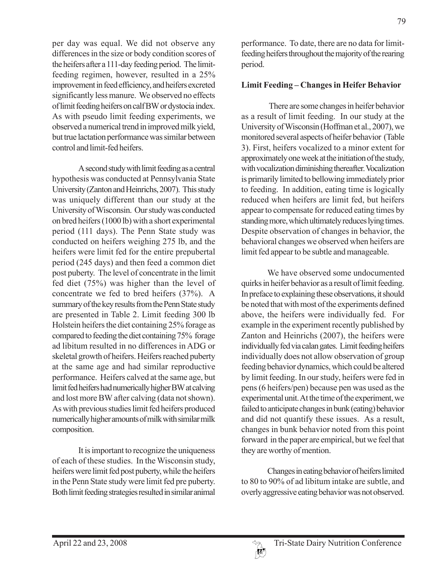per day was equal. We did not observe any differences in the size or body condition scores of the heifers after a 111-day feeding period. The limitfeeding regimen, however, resulted in a 25% improvement in feed efficiency, and heifers excreted significantly less manure. We observed no effects of limit feeding heifers on calf BW or dystocia index. As with pseudo limit feeding experiments, we observed a numerical trend in improved milk yield, but true lactation performance was similar between control and limit-fed heifers.

A second study with limit feeding as a central hypothesis was conducted at Pennsylvania State University (Zanton and Heinrichs, 2007). This study was uniquely different than our study at the University of Wisconsin. Our study was conducted on bred heifers (1000 lb) with a short experimental period (111 days). The Penn State study was conducted on heifers weighing 275 lb, and the heifers were limit fed for the entire prepubertal period (245 days) and then feed a common diet post puberty. The level of concentrate in the limit fed diet (75%) was higher than the level of concentrate we fed to bred heifers (37%). A summary of the key results from the Penn State study are presented in Table 2. Limit feeding 300 lb Holstein heifers the diet containing 25% forage as compared to feeding the diet containing 75% forage ad libitum resulted in no differences in ADG or skeletal growth of heifers. Heifers reached puberty at the same age and had similar reproductive performance. Heifers calved at the same age, but limit fed heifers had numerically higher BW at calving and lost more BW after calving (data not shown). As with previous studies limit fed heifers produced numerically higher amounts of milk with similar milk composition.

It is important to recognize the uniqueness of each of these studies. In the Wisconsin study, heifers were limit fed post puberty, while the heifers in the Penn State study were limit fed pre puberty. Both limit feeding strategies resulted in similar animal 79

performance. To date, there are no data for limitfeeding heifers throughout the majority of the rearing period.

### **Limit Feeding – Changes in Heifer Behavior**

 There are some changes in heifer behavior as a result of limit feeding. In our study at the University of Wisconsin (Hoffman et al., 2007), we monitored several aspects of heifer behavior (Table 3). First, heifers vocalized to a minor extent for approximately one week at the initiation of the study, with vocalization diminishing thereafter. Vocalization is primarily limited to bellowing immediately prior to feeding. In addition, eating time is logically reduced when heifers are limit fed, but heifers appear to compensate for reduced eating times by standing more, which ultimately reduces lying times. Despite observation of changes in behavior, the behavioral changes we observed when heifers are limit fed appear to be subtle and manageable.

We have observed some undocumented quirks in heifer behavior as a result of limit feeding. In preface to explaining these observations, it should be noted that with most of the experiments defined above, the heifers were individually fed. For example in the experiment recently published by Zanton and Heinrichs (2007), the heifers were individually fed via calan gates. Limit feeding heifers individually does not allow observation of group feeding behavior dynamics, which could be altered by limit feeding. In our study, heifers were fed in pens (6 heifers/pen) because pen was used as the experimental unit. At the time of the experiment, we failed to anticipate changes in bunk (eating) behavior and did not quantify these issues. As a result, changes in bunk behavior noted from this point forward in the paper are empirical, but we feel that they are worthy of mention.

Changes in eating behavior of heifers limited to 80 to 90% of ad libitum intake are subtle, and overly aggressive eating behavior was not observed.

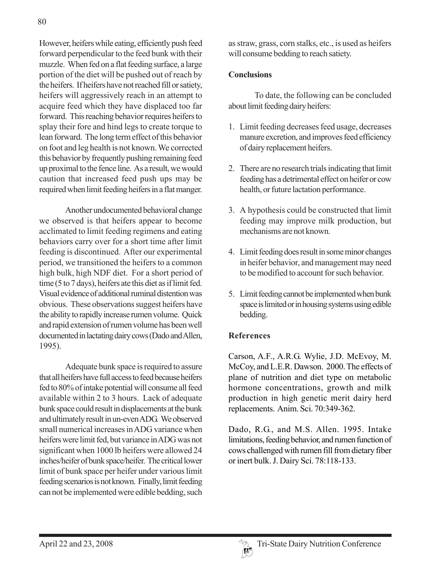However, heifers while eating, efficiently push feed forward perpendicular to the feed bunk with their muzzle. When fed on a flat feeding surface, a large portion of the diet will be pushed out of reach by the heifers. If heifers have not reached fill or satiety, heifers will aggressively reach in an attempt to acquire feed which they have displaced too far forward. This reaching behavior requires heifers to splay their fore and hind legs to create torque to lean forward. The long term effect of this behavior on foot and leg health is not known. We corrected this behavior by frequently pushing remaining feed up proximal to the fence line. As a result, we would caution that increased feed push ups may be required when limit feeding heifers in a flat manger.

Another undocumented behavioral change we observed is that heifers appear to become acclimated to limit feeding regimens and eating behaviors carry over for a short time after limit feeding is discontinued. After our experimental period, we transitioned the heifers to a common high bulk, high NDF diet. For a short period of time (5 to 7 days), heifers ate this diet as if limit fed. Visual evidence of additional ruminal distention was obvious. These observations suggest heifers have the ability to rapidly increase rumen volume. Quick and rapid extension of rumen volume has been well documented in lactating dairy cows (Dado and Allen, 1995).

Adequate bunk space is required to assure that all heifers have full access to feed because heifers fed to 80% of intake potential will consume all feed available within 2 to 3 hours. Lack of adequate bunk space could result in displacements at the bunk and ultimately result in un-even ADG. We observed small numerical increases in ADG variance when heifers were limit fed, but variance in ADG was not significant when 1000 lb heifers were allowed 24 inches/heifer of bunk space/heifer. The critical lower limit of bunk space per heifer under various limit feeding scenarios is not known. Finally, limit feeding can not be implemented were edible bedding, such

as straw, grass, corn stalks, etc., is used as heifers will consume bedding to reach satiety.

### **Conclusions**

To date, the following can be concluded about limit feeding dairy heifers:

- 1. Limit feeding decreases feed usage, decreases manure excretion, and improves feed efficiency of dairy replacement heifers.
- 2. There are no research trials indicating that limit feeding has a detrimental effect on heifer or cow health, or future lactation performance.
- 3. A hypothesis could be constructed that limit feeding may improve milk production, but mechanisms are not known.
- 4. Limit feeding does result in some minor changes in heifer behavior, and management may need to be modified to account for such behavior.
- 5. Limit feeding cannot be implemented when bunk space is limited or in housing systems using edible bedding.

#### **References**

Carson, A.F., A.R.G. Wylie, J.D. McEvoy, M. McCoy, and L.E.R. Dawson. 2000. The effects of plane of nutrition and diet type on metabolic hormone concentrations, growth and milk production in high genetic merit dairy herd replacements. Anim. Sci. 70:349-362.

Dado, R.G., and M.S. Allen. 1995. Intake limitations, feeding behavior, and rumen function of cows challenged with rumen fill from dietary fiber or inert bulk. J. Dairy Sci. 78:118-133.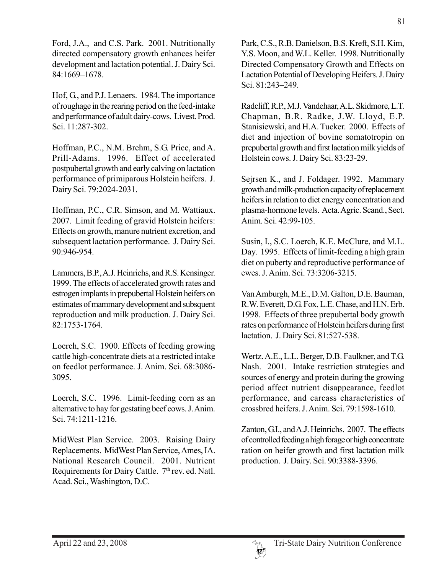Ford, J.A., and C.S. Park. 2001. Nutritionally directed compensatory growth enhances heifer development and lactation potential. J. Dairy Sci. 84:1669–1678.

Hof, G., and P.J. Lenaers. 1984. The importance of roughage in the rearing period on the feed-intake and performance of adult dairy-cows. Livest. Prod. Sci. 11:287-302.

Hoffman, P.C., N.M. Brehm, S.G. Price, and A. Prill-Adams. 1996. Effect of accelerated postpubertal growth and early calving on lactation performance of primiparous Holstein heifers. J. Dairy Sci. 79:2024-2031.

Hoffman, P.C., C.R. Simson, and M. Wattiaux. 2007. Limit feeding of gravid Holstein heifers: Effects on growth, manure nutrient excretion, and subsequent lactation performance. J. Dairy Sci. 90:946-954.

Lammers, B.P., A.J. Heinrichs, and R.S. Kensinger. 1999. The effects of accelerated growth rates and estrogen implants in prepubertal Holstein heifers on estimates of mammary development and subsquent reproduction and milk production. J. Dairy Sci. 82:1753-1764.

Loerch, S.C. 1900. Effects of feeding growing cattle high-concentrate diets at a restricted intake on feedlot performance. J. Anim. Sci. 68:3086- 3095.

Loerch, S.C. 1996. Limit-feeding corn as an alternative to hay for gestating beef cows. J. Anim. Sci. 74:1211-1216.

MidWest Plan Service. 2003. Raising Dairy Replacements. MidWest Plan Service, Ames, IA. National Research Council. 2001. Nutrient Requirements for Dairy Cattle. 7<sup>th</sup> rev. ed. Natl. Acad. Sci., Washington, D.C.

Park, C.S., R.B. Danielson, B.S. Kreft, S.H. Kim, Y.S. Moon, and W.L. Keller. 1998. Nutritionally Directed Compensatory Growth and Effects on Lactation Potential of Developing Heifers. J. Dairy Sci. 81:243–249.

Radcliff, R.P., M.J. Vandehaar, A.L. Skidmore, L.T. Chapman, B.R. Radke, J.W. Lloyd, E.P. Stanisiewski, and H.A. Tucker. 2000. Effects of diet and injection of bovine somatotropin on prepubertal growth and first lactation milk yields of Holstein cows. J. Dairy Sci. 83:23-29.

Sejrsen K., and J. Foldager. 1992. Mammary growth and milk-production capacity of replacement heifers in relation to diet energy concentration and plasma-hormone levels. Acta. Agric. Scand., Sect. Anim. Sci. 42:99-105.

Susin, I., S.C. Loerch, K.E. McClure, and M.L. Day. 1995. Effects of limit-feeding a high grain diet on puberty and reproductive performance of ewes. J. Anim. Sci. 73:3206-3215.

Van Amburgh, M.E., D.M. Galton, D.E. Bauman, R.W. Everett, D.G. Fox, L.E. Chase, and H.N. Erb. 1998. Effects of three prepubertal body growth rates on performance of Holstein heifers during first lactation. J. Dairy Sci. 81:527-538.

Wertz. A.E., L.L. Berger, D.B. Faulkner, and T.G. Nash. 2001. Intake restriction strategies and sources of energy and protein during the growing period affect nutrient disappearance, feedlot performance, and carcass characteristics of crossbred heifers. J. Anim. Sci. 79:1598-1610.

Zanton, G.I., and A.J. Heinrichs. 2007. The effects of controlled feeding a high forage or high concentrate ration on heifer growth and first lactation milk production. J. Dairy. Sci. 90:3388-3396.

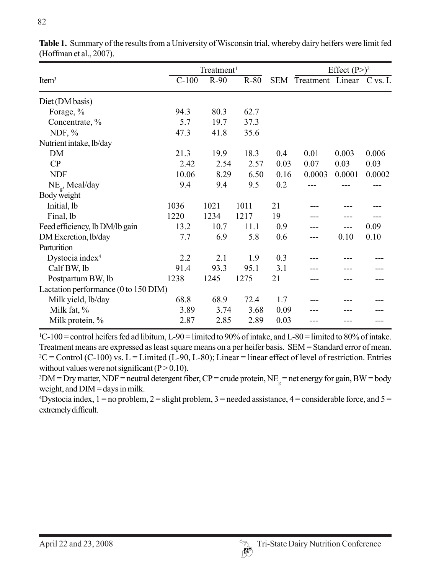|                                      | Treatment <sup>1</sup> |        |        |      | Effect $(P>)^2$          |        |        |  |
|--------------------------------------|------------------------|--------|--------|------|--------------------------|--------|--------|--|
| Item <sup>3</sup>                    | $C-100$                | $R-90$ | $R-80$ | SEM  | Treatment Linear C vs. L |        |        |  |
| Diet (DM basis)                      |                        |        |        |      |                          |        |        |  |
| Forage, %                            | 94.3                   | 80.3   | 62.7   |      |                          |        |        |  |
| Concentrate, %                       | 5.7                    | 19.7   | 37.3   |      |                          |        |        |  |
| NDF, $%$                             | 47.3                   | 41.8   | 35.6   |      |                          |        |        |  |
| Nutrient intake, lb/day              |                        |        |        |      |                          |        |        |  |
| DM                                   | 21.3                   | 19.9   | 18.3   | 0.4  | 0.01                     | 0.003  | 0.006  |  |
| CP                                   | 2.42                   | 2.54   | 2.57   | 0.03 | 0.07                     | 0.03   | 0.03   |  |
| <b>NDF</b>                           | 10.06                  | 8.29   | 6.50   | 0.16 | 0.0003                   | 0.0001 | 0.0002 |  |
| $NE_{g}$ , Mcal/day                  | 9.4                    | 9.4    | 9.5    | 0.2  |                          |        |        |  |
| Body weight                          |                        |        |        |      |                          |        |        |  |
| Initial, lb                          | 1036                   | 1021   | 1011   | 21   |                          |        |        |  |
| Final, lb                            | 1220                   | 1234   | 1217   | 19   |                          |        |        |  |
| Feed efficiency, lb DM/lb gain       | 13.2                   | 10.7   | 11.1   | 0.9  |                          |        | 0.09   |  |
| DM Excretion, lb/day                 | 7.7                    | 6.9    | 5.8    | 0.6  |                          | 0.10   | 0.10   |  |
| Parturition                          |                        |        |        |      |                          |        |        |  |
| Dystocia index <sup>4</sup>          | 2.2                    | 2.1    | 1.9    | 0.3  |                          |        |        |  |
| Calf BW, lb                          | 91.4                   | 93.3   | 95.1   | 3.1  |                          |        |        |  |
| Postpartum BW, lb                    | 1238                   | 1245   | 1275   | 21   |                          |        |        |  |
| Lactation performance (0 to 150 DIM) |                        |        |        |      |                          |        |        |  |
| Milk yield, lb/day                   | 68.8                   | 68.9   | 72.4   | 1.7  |                          |        |        |  |
| Milk fat, %                          | 3.89                   | 3.74   | 3.68   | 0.09 |                          |        |        |  |
| Milk protein, %                      | 2.87                   | 2.85   | 2.89   | 0.03 |                          |        |        |  |

**Table 1.** Summary of the results from a University of Wisconsin trial, whereby dairy heifers were limit fed (Hoffman et al., 2007).

1 C-100 = control heifers fed ad libitum, L-90 = limited to 90% of intake, and L-80 = limited to 80% of intake. Treatment means are expressed as least square means on a per heifer basis. SEM = Standard error of mean.  $2^2C$  = Control (C-100) vs. L = Limited (L-90, L-80); Linear = linear effect of level of restriction. Entries without values were not significant  $(P > 0.10)$ .

 $3 DM = Dry$  matter, NDF = neutral detergent fiber, CP = crude protein, NE<sub>g</sub> = net energy for gain, BW = body weight, and  $DIM =$  days in milk.

 $4$ Dystocia index, 1 = no problem, 2 = slight problem, 3 = needed assistance, 4 = considerable force, and 5 = extremely difficult.